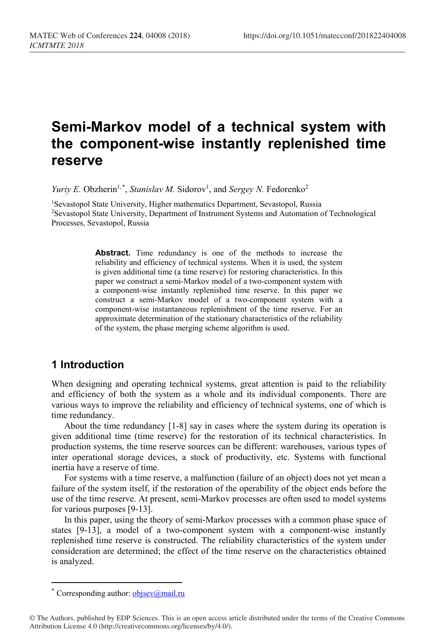# **Semi-Markov model of a technical system with the component-wise instantly replenished time reserve**

*Yuriy E.* Obzherin<sup>1,[\\*](#page-0-0)</sup>, *Stanislav M.* Sidorov<sup>1</sup>, and *Sergey N.* Fedorenko<sup>2</sup>

<sup>1</sup>Sevastopol State University, Higher mathematics Department, Sevastopol, Russia 2Sevastopol State University, Department of Instrument Systems and Automation of Technological Processes, Sevastopol, Russia

> **Abstract.** Time redundancy is one of the methods to increase the reliability and efficiency of technical systems. When it is used, the system is given additional time (a time reserve) for restoring characteristics. In this paper we construct a semi-Markov model of a two-component system with a component-wise instantly replenished time reserve. In this paper we construct a semi-Markov model of a two-component system with a component-wise instantaneous replenishment of the time reserve. For an approximate determination of the stationary characteristics of the reliability of the system, the phase merging scheme algorithm is used.

## **1 Introduction**

When designing and operating technical systems, great attention is paid to the reliability and efficiency of both the system as a whole and its individual components. There are various ways to improve the reliability and efficiency of technical systems, one of which is time redundancy.

About the time redundancy [1-8] say in cases where the system during its operation is given additional time (time reserve) for the restoration of its technical characteristics. In production systems, the time reserve sources can be different: warehouses, various types of inter operational storage devices, a stock of productivity, etc. Systems with functional inertia have a reserve of time.

For systems with a time reserve, a malfunction (failure of an object) does not yet mean a failure of the system itself, if the restoration of the operability of the object ends before the use of the time reserve. At present, semi-Markov processes are often used to model systems for various purposes [9-13].

In this paper, using the theory of semi-Markov processes with a common phase space of states [9-13], a model of a two-component system with a component-wise instantly replenished time reserve is constructed. The reliability characteristics of the system under consideration are determined; the effect of the time reserve on the characteristics obtained is analyzed.

 $\overline{a}$ 

Corresponding author:  $objsev(\hat{a})$ mail.ru

<span id="page-0-0"></span><sup>©</sup> The Authors, published by EDP Sciences. This is an open access article distributed under the terms of the Creative Commons Attribution License 4.0 (http://creativecommons.org/licenses/by/4.0/).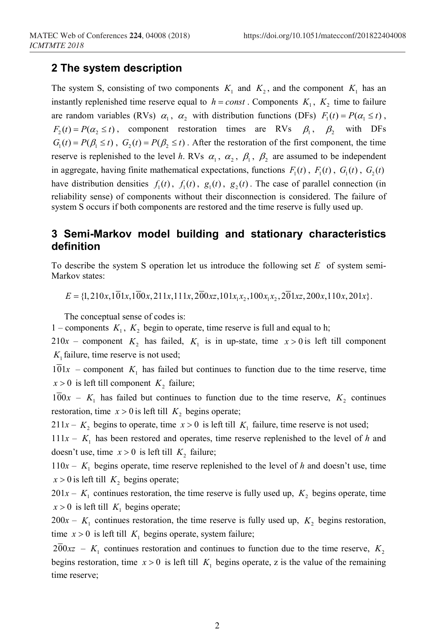# **2 The system description**

The system S, consisting of two components  $K_1$  and  $K_2$ , and the component  $K_1$  has an instantly replenished time reserve equal to  $h = const$ . Components  $K_1$ ,  $K_2$  time to failure are random variables (RVs)  $\alpha_1$ ,  $\alpha_2$  with distribution functions (DFs)  $F_1(t) = P(\alpha_1 \le t)$ ,  $F_2(t) = P(\alpha_2 \le t)$ , component restoration times are RVs  $\beta_1$ ,  $\beta_2$  with DFs  $G_1(t) = P(\beta_1 \le t)$ ,  $G_2(t) = P(\beta_2 \le t)$ . After the restoration of the first component, the time reserve is replenished to the level *h*. RVs  $\alpha_1$ ,  $\alpha_2$ ,  $\beta_1$ ,  $\beta_2$  are assumed to be independent in aggregate, having finite mathematical expectations, functions  $F_1(t)$ ,  $F_1(t)$ ,  $G_1(t)$ ,  $G_2(t)$ have distribution densities  $f_1(t)$ ,  $f_1(t)$ ,  $g_1(t)$ ,  $g_2(t)$ . The case of parallel connection (in reliability sense) of components without their disconnection is considered. The failure of system S occurs if both components are restored and the time reserve is fully used up.

# **3 Semi-Markov model building and stationary characteristics definition**

To describe the system S operation let us introduce the following set *E* of system semi-Markov states:

 $E = \{1, 210x, 101x, 100x, 211x, 111x, 200xz, 101x, x_2, 100x_1x_2, 201xz, 200x, 110x, 201x\}.$ 

The conceptual sense of codes is:

1 – components  $K_1$ ,  $K_2$  begin to operate, time reserve is full and equal to h;

 $210x$  – component  $K_2$  has failed,  $K_1$  is in up-state, time  $x > 0$  is left till component  $K<sub>1</sub>$  failure, time reserve is not used;

 $101x$  – component  $K_1$  has failed but continues to function due to the time reserve, time  $x > 0$  is left till component  $K<sub>2</sub>$  failure;

 $100x - K_1$  has failed but continues to function due to the time reserve,  $K_2$  continues restoration, time  $x > 0$  is left till  $K<sub>2</sub>$ , begins operate;

211*x* –  $K_2$  begins to operate, time  $x > 0$  is left till  $K_1$  failure, time reserve is not used;

 $111x - K<sub>1</sub>$  has been restored and operates, time reserve replenished to the level of *h* and doesn't use, time  $x > 0$  is left till  $K<sub>2</sub>$ , failure;

 $110x - K<sub>1</sub>$  begins operate, time reserve replenished to the level of *h* and doesn't use, time  $x > 0$  is left till  $K<sub>2</sub>$  begins operate;

 $201x - K<sub>1</sub>$  continues restoration, the time reserve is fully used up,  $K<sub>2</sub>$  begins operate, time  $x > 0$  is left till  $K<sub>1</sub>$  begins operate;

 $200x - K<sub>1</sub>$  continues restoration, the time reserve is fully used up,  $K<sub>2</sub>$  begins restoration, time  $x > 0$  is left till  $K_1$  begins operate, system failure;

 $2\overline{0}0xz - K_1$  continues restoration and continues to function due to the time reserve,  $K_2$ begins restoration, time  $x > 0$  is left till  $K_1$  begins operate, z is the value of the remaining time reserve;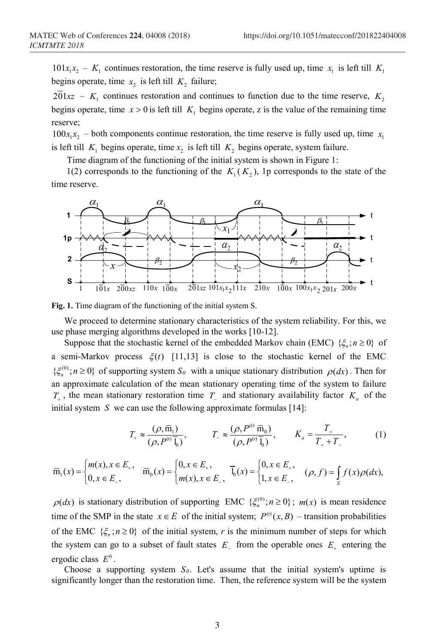$101x_1x_2 - K_1$  continues restoration, the time reserve is fully used up, time  $x_1$  is left till  $K_1$ begins operate, time  $x_2$  is left till  $K_2$  failure;

 $201xz - K<sub>1</sub>$  continues restoration and continues to function due to the time reserve,  $K<sub>2</sub>$ begins operate, time  $x > 0$  is left till  $K<sub>1</sub>$  begins operate, z is the value of the remaining time reserve;

 $100x_1x_2$  – both components continue restoration, the time reserve is fully used up, time  $x_1$ is left till  $K_1$  begins operate, time  $x_2$  is left till  $K_2$  begins operate, system failure.

Time diagram of the functioning of the initial system is shown in Figure 1:

1(2) corresponds to the functioning of the  $K_1(K_2)$ , 1p corresponds to the state of the time reserve.





We proceed to determine stationary characteristics of the system reliability. For this, we use phase merging algorithms developed in the works [10-12].

Suppose that the stochastic kernel of the embedded Markov chain (EMC)  $\{\xi_n; n \geq 0\}$  of a semi-Markov process  $\xi(t)$  [11,13] is close to the stochastic kernel of the EMC  $\{\xi_n^{(0)}; n \geq 0\}$  of supporting system  $S_0$  with a unique stationary distribution  $\rho(dx)$ . Then for an approximate calculation of the mean stationary operating time of the system to failure  $T_{+}$ , the mean stationary restoration time  $T_{-}$  and stationary availability factor  $K_{a}$  of the initial system *S* we can use the following approximate formulas [14]:

$$
T_{+} \approx \frac{(\rho, \overline{\mathbf{m}}_1)}{(\rho, P^{(r)} \overline{\mathbf{l}}_0)}, \qquad T_{-} \approx \frac{(\rho, P^{(r)} \overline{\mathbf{m}}_0)}{(\rho, P^{(r)} \overline{\mathbf{l}}_0)}, \qquad K_a = \frac{T_+}{T_+ + T_-}, \qquad (1)
$$

$$
\overline{\mathfrak{m}}_1(x) = \begin{cases} m(x), x \in E_+, \\ 0, x \in E_-, \end{cases} \overline{\mathfrak{m}}_0(x) = \begin{cases} 0, x \in E_+, \\ m(x), x \in E_-, \end{cases} \overline{I}_0(x) = \begin{cases} 0, x \in E_+, \\ 1, x \in E_-, \end{cases} \quad (\rho, f) = \int_x f(x) \rho(dx),
$$

 $\rho(dx)$  is stationary distribution of supporting EMC  $\{\xi_n^{(0)}; n \geq 0\}$ ;  $m(x)$  is mean residence time of the SMP in the state  $x \in E$  of the initial system;  $P^{(r)}(x, B)$  – transition probabilities of the EMC  $\{\xi_n, n \geq 0\}$  of the initial system, *r* is the minimum number of steps for which the system can go to a subset of fault states  $E_$  from the operable ones  $E_+$  entering the ergodic class  $E^0$ .

Choose a supporting system  $S_0$ . Let's assume that the initial system's uptime is significantly longer than the restoration time. Then, the reference system will be the system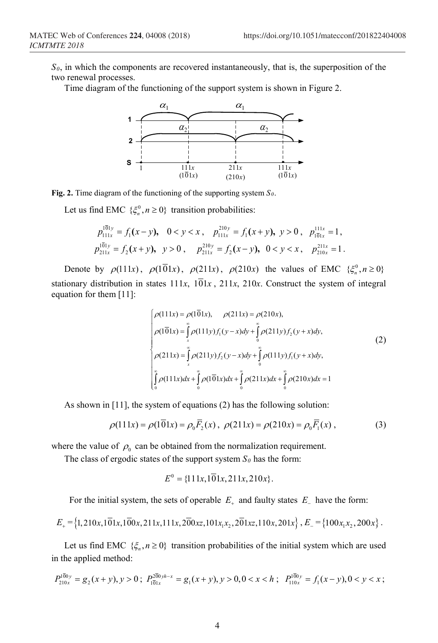$S<sub>0</sub>$ , in which the components are recovered instantaneously, that is, the superposition of the two renewal processes.

Time diagram of the functioning of the support system is shown in Figure 2.



**Fig. 2.** Time diagram of the functioning of the supporting system *S0*.

Let us find EMC  $\{\xi_n^0, n \geq 0\}$  transition probabilities:

$$
p_{111x}^{1\overline{0}1y} = f_1(x-y), \quad 0 < y < x \,, \quad p_{111x}^{210y} = f_1(x+y), \quad y > 0 \,, \quad p_{1\overline{0}1x}^{111x} = 1 \,,
$$
\n
$$
p_{211x}^{1\overline{0}1y} = f_2(x+y), \quad y > 0 \,, \quad p_{211x}^{210y} = f_2(x-y), \quad 0 < y < x \,, \quad p_{210x}^{211x} = 1 \,.
$$

Denote by  $\rho(111x)$ ,  $\rho(101x)$ ,  $\rho(211x)$ ,  $\rho(210x)$  the values of EMC  $\{\xi_n^0, n \ge 0\}$ stationary distribution in states  $111x$ ,  $101x$ ,  $211x$ ,  $210x$ . Construct the system of integral equation for them [11]:

$$
\begin{cases}\n\rho(111x) = \rho(101x), & \rho(211x) = \rho(210x), \\
\rho(101x) = \int_{x}^{\infty} \rho(111y) f_1(y - x) dy + \int_{0}^{\infty} \rho(211y) f_2(y + x) dy, \\
\rho(211x) = \int_{x}^{\infty} \rho(211y) f_2(y - x) dy + \int_{0}^{\infty} \rho(111y) f_1(y + x) dy, \\
\int_{0}^{\infty} \rho(111x) dx + \int_{0}^{\infty} \rho(101x) dx + \int_{0}^{\infty} \rho(211x) dx + \int_{0}^{\infty} \rho(210x) dx = 1\n\end{cases}
$$
\n(2)

As shown in [11], the system of equations (2) has the following solution:

$$
\rho(111x) = \rho(1\overline{0}1x) = \rho_0 \overline{F}_2(x), \ \rho(211x) = \rho(210x) = \rho_0 \overline{F}_1(x), \tag{3}
$$

where the value of  $\rho_0$  can be obtained from the normalization requirement.

The class of ergodic states of the support system  $S_{\theta}$  has the form:

$$
E^0 = \{111x, 101x, 211x, 210x\}.
$$

For the initial system, the sets of operable *E*<sup>+</sup> and faulty states *E*<sup>−</sup> have the form:

$$
E_{+} = \left\{1, 210x, 101x, 100x, 211x, 111x, 200xz, 101x_1x_2, 201xz, 110x, 201x\right\}, E_{-} = \left\{100x_1x_2, 200x\right\}.
$$

Let us find EMC  $\{\xi_n, n \geq 0\}$  transition probabilities of the initial system which are used in the applied method:

$$
P_{210x}^{1\overline{0}0y} = g_2(x+y), y > 0; P_{1\overline{0}1x}^{2\overline{0}0yh-x} = g_1(x+y), y > 0, 0 < x < h; P_{110x}^{1\overline{0}0y} = f_1(x-y), 0 < y < x;
$$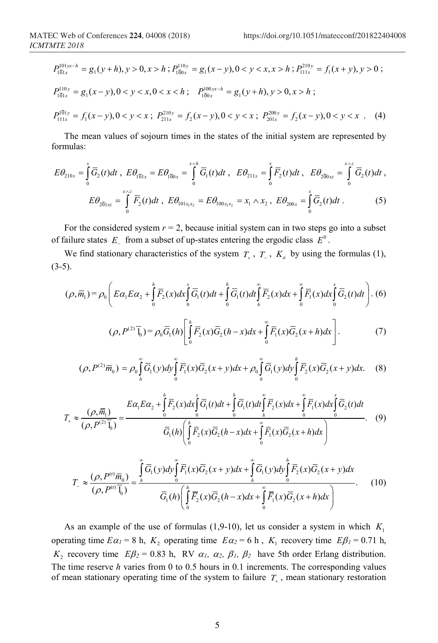$$
P_{1\overline{0}1x}^{101yx-h} = g_1(y+h), y > 0, x > h; P_{1\overline{0}0x}^{110y} = g_1(x-y), 0 < y < x, x > h; P_{111x}^{210y} = f_1(x+y), y > 0;
$$
  
\n
$$
P_{1\overline{0}1x}^{110y} = g_1(x-y), 0 < y < x, 0 < x < h; \quad P_{1\overline{0}0x}^{100yx-h} = g_1(y+h), y > 0, x > h;
$$
  
\n
$$
P_{111x}^{1\overline{0}1y} = f_1(x-y), 0 < y < x; \quad P_{211x}^{210y} = f_2(x-y), 0 < y < x; \quad P_{201x}^{200y} = f_2(x-y), 0 < y < x.
$$
 (4)

The mean values of sojourn times in the states of the initial system are represented by formulas:

$$
E\theta_{210x} = \int_{0}^{x} \overline{G}_{2}(t)dt, \quad E\theta_{101x} = E\theta_{100x} = \int_{0}^{x \wedge h} \overline{G}_{1}(t)dt, \quad E\theta_{211x} = \int_{0}^{x} \overline{F}_{2}(t)dt, \quad E\theta_{200x} = \int_{0}^{x \wedge z} \overline{G}_{2}(t)dt,
$$

$$
E\theta_{201xz} = \int_{0}^{x \wedge z} \overline{F}_{2}(t)dt, \quad E\theta_{101x_{1}x_{2}} = E\theta_{100x_{1}x_{2}} = x_{1} \wedge x_{2}, \quad E\theta_{200x} = \int_{0}^{x} \overline{G}_{2}(t)dt.
$$
 (5)

For the considered system  $r = 2$ , because initial system can in two steps go into a subset of failure states  $E_{\perp}$  from a subset of up-states entering the ergodic class  $E^0$ .

We find stationary characteristics of the system  $T_+$ ,  $T_-$ ,  $K_a$  by using the formulas (1),  $(3-5).$ 

$$
(\rho, \overline{m}_1) = \rho_0 \left( E \alpha_1 E \alpha_2 + \int_0^h \overline{F}_2(x) dx \int_0^x \overline{G}_1(t) dt + \int_0^h \overline{G}_1(t) dt \int_h^u \overline{F}_2(x) dx + \int_0^u \overline{F}_1(x) dx \int_0^x \overline{G}_2(t) dt \right).
$$
 (6)

$$
(\rho, P^{(2)}\overline{I}_0) = \rho_0 \overline{G}_1(h) \left[ \int_0^h \overline{F}_2(x) \overline{G}_2(h-x) dx + \int_0^\infty \overline{F}_1(x) \overline{G}_2(x+h) dx \right].
$$
 (7)

$$
(\rho, P^{(2)}\overline{m}_0) = \rho_0 \int_h^{\infty} \overline{G}_1(y) dy \int_0^{\infty} \overline{F}_1(x) \overline{G}_2(x+y) dx + \rho_0 \int_h^{\infty} \overline{G}_1(y) dy \int_0^h \overline{F}_2(x) \overline{G}_2(x+y) dx.
$$
 (8)

$$
T_{+} \approx \frac{(\rho, \overline{m}_{1})}{(\rho, P^{(2)} \overline{\mathbf{l}}_{0})} = \frac{E\alpha_{1}E\alpha_{2} + \int_{0}^{h} \overline{F}_{2}(x)dx \int_{0}^{x} \overline{G}_{1}(t)dt + \int_{0}^{h} \overline{G}_{1}(t)dt \int_{h}^{x} \overline{F}_{2}(x)dx + \int_{0}^{x} \overline{F}_{1}(x)dx \int_{0}^{x} \overline{G}_{2}(t)dt}{\overline{G}_{1}(h) \left(\int_{0}^{h} \overline{F}_{2}(x)\overline{G}_{2}(h-x)dx + \int_{0}^{x} \overline{F}_{1}(x)\overline{G}_{2}(x+h)dx\right)}.
$$
 (9)

$$
T_{-} \approx \frac{(\rho, P^{(r)}\overline{m}_{0})}{(\rho, P^{(r)}\overline{I}_{0})} = \frac{\int_{h}^{\infty} \overline{G}_{1}(y)dy \int_{0}^{\infty} \overline{F}_{1}(x)\overline{G}_{2}(x+y)dx + \int_{h}^{\infty} \overline{G}_{1}(y)dy \int_{0}^{h} \overline{F}_{2}(x)\overline{G}_{2}(x+y)dx}{\overline{G}_{1}(h)\left(\int_{0}^{h} \overline{F}_{2}(x)\overline{G}_{2}(h-x)dx + \int_{0}^{\infty} \overline{F}_{1}(x)\overline{G}_{2}(x+h)dx\right)}.
$$
 (10)

As an example of the use of formulas (1,9-10), let us consider a system in which  $K_1$ operating time  $E\alpha_1 = 8$  h,  $K_2$  operating time  $E\alpha_2 = 6$  h,  $K_1$  recovery time  $E\beta_1 = 0.71$  h, *K*<sub>2</sub> recovery time  $E\beta_2 = 0.83$  h, RV  $\alpha_1$ ,  $\alpha_2$ ,  $\beta_1$ ,  $\beta_2$  have 5th order Erlang distribution. The time reserve *h* varies from 0 to 0.5 hours in 0.1 increments. The corresponding values of mean stationary operating time of the system to failure  $T_{+}$ , mean stationary restoration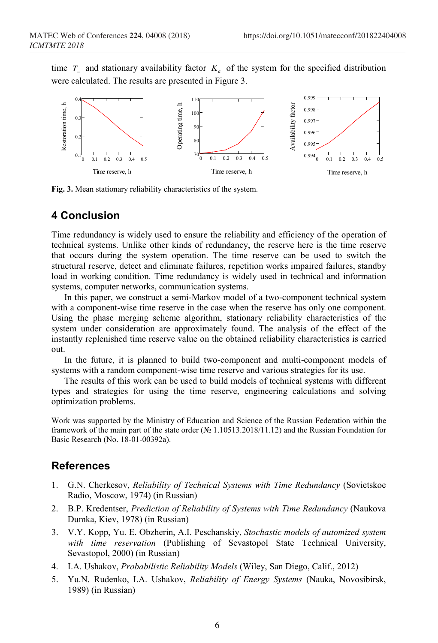time  $T_$  and stationary availability factor  $K_a$  of the system for the specified distribution were calculated. The results are presented in Figure 3.



**Fig. 3.** Mean stationary reliability characteristics of the system.

## **4 Conclusion**

Time redundancy is widely used to ensure the reliability and efficiency of the operation of technical systems. Unlike other kinds of redundancy, the reserve here is the time reserve that occurs during the system operation. The time reserve can be used to switch the structural reserve, detect and eliminate failures, repetition works impaired failures, standby load in working condition. Time redundancy is widely used in technical and information systems, computer networks, communication systems.

In this paper, we construct a semi-Markov model of a two-component technical system with a component-wise time reserve in the case when the reserve has only one component. Using the phase merging scheme algorithm, stationary reliability characteristics of the system under consideration are approximately found. The analysis of the effect of the instantly replenished time reserve value on the obtained reliability characteristics is carried out.

In the future, it is planned to build two-component and multi-component models of systems with a random component-wise time reserve and various strategies for its use.

The results of this work can be used to build models of technical systems with different types and strategies for using the time reserve, engineering calculations and solving optimization problems.

Work was supported by the Ministry of Education and Science of the Russian Federation within the framework of the main part of the state order (№ 1.10513.2018/11.12) and the Russian Foundation for Basic Research (No. 18-01-00392a).

#### **References**

- 1. G.N. Cherkesov, *Reliability of Technical Systems with Time Redundancy* (Sovietskoe Radio, Moscow, 1974) (in Russian)
- 2. B.P. Kredentser, *Prediction of Reliability of Systems with Time Redundancy* (Naukova Dumka, Kiev, 1978) (in Russian)
- 3. V.Y. Kopp, Yu. E. Obzherin, A.I. Peschanskiy, *Stochastic models of automized system with time reservation* (Publishing of Sevastopol State Technical University, Sevastopol, 2000) (in Russian)
- 4. I.A. Ushakov, *Probabilistic Reliability Models* (Wiley, [San Diego, Calif.,](http://link.sandiego.edu/resource/LcWaVZwPrsY/) 2012)
- 5. Yu.N. Rudenko, I.A. Ushakov, *Reliability of Energy Systems* (Nauka, Novosibirsk, 1989) (in Russian)